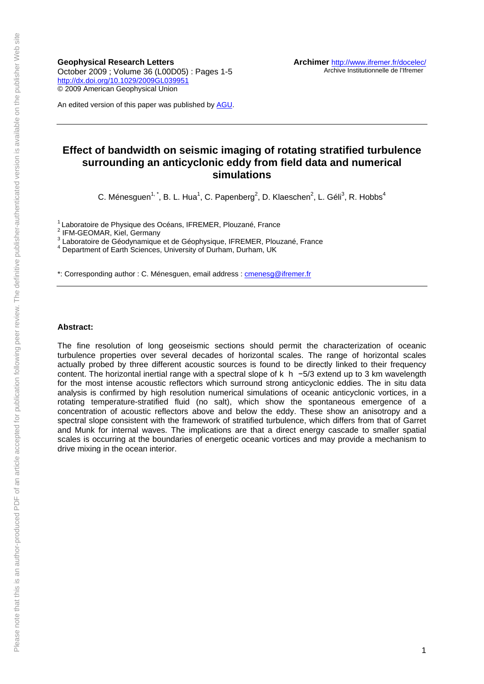**Geophysical Research Letters**  October 2009 ; Volume 36 (L00D05) : Pages 1-5 <http://dx.doi.org/10.1029/2009GL039951> © 2009 American Geophysical Union

An edited version of this paper was published by [AGU.](http://www.agu.org/)

# **Effect of bandwidth on seismic imaging of rotating stratified turbulence surrounding an anticyclonic eddy from field data and numerical simulations**

C. Ménesguen<sup>1, \*</sup>, B. L. Hua<sup>1</sup>, C. Papenberg<sup>2</sup>, D. Klaeschen<sup>2</sup>, L. Géli<sup>3</sup>, R. Hobbs<sup>4</sup>

<sup>1</sup> Laboratoire de Physique des Océans, IFREMER, Plouzané, France

2 IFM-GEOMAR, Kiel, Germany

<sup>3</sup> Laboratoire de Géodynamique et de Géophysique, IFREMER, Plouzané, France<br><sup>4</sup> Department et Farth Sciences, University of Durborn, Durborn, UK

Department of Earth Sciences, University of Durham, Durham, UK

\*: Corresponding author : C. Ménesguen, email address : [cmenesg@ifremer.fr](mailto:cmenesg@ifremer.fr)

#### **Abstract:**

The fine resolution of long geoseismic sections should permit the characterization of oceanic turbulence properties over several decades of horizontal scales. The range of horizontal scales actually probed by three different acoustic sources is found to be directly linked to their frequency content. The horizontal inertial range with a spectral slope of k h −5/3 extend up to 3 km wavelength for the most intense acoustic reflectors which surround strong anticyclonic eddies. The in situ data analysis is confirmed by high resolution numerical simulations of oceanic anticyclonic vortices, in a rotating temperature-stratified fluid (no salt), which show the spontaneous emergence of a concentration of acoustic reflectors above and below the eddy. These show an anisotropy and a spectral slope consistent with the framework of stratified turbulence, which differs from that of Garret and Munk for internal waves. The implications are that a direct energy cascade to smaller spatial scales is occurring at the boundaries of energetic oceanic vortices and may provide a mechanism to drive mixing in the ocean interior.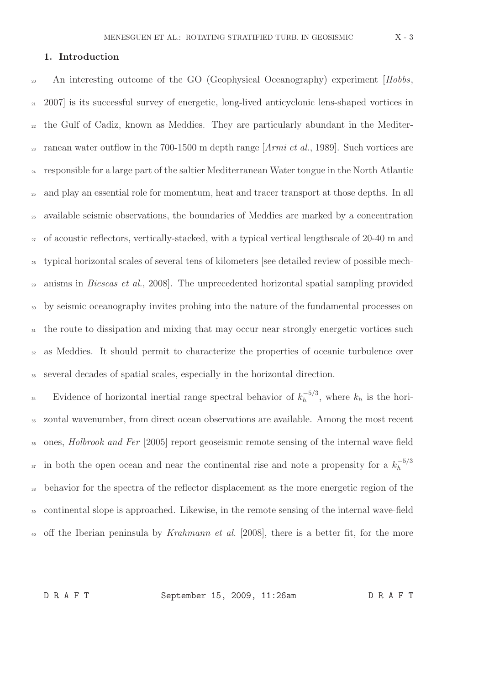# 1. Introduction

<sup>20</sup> An interesting outcome of the GO (Geophysical Oceanography) experiment [Hobbs, <sup>21</sup> 2007] is its successful survey of energetic, long-lived anticyclonic lens-shaped vortices in <sup>22</sup> the Gulf of Cadiz, known as Meddies. They are particularly abundant in the Mediter-<sup>23</sup> ranean water outflow in the 700-1500 m depth range  $[Armi et al., 1989]$ . Such vortices are <sup>24</sup> responsible for a large part of the saltier Mediterranean Water tongue in the North Atlantic <sup>25</sup> and play an essential role for momentum, heat and tracer transport at those depths. In all <sup>26</sup> available seismic observations, the boundaries of Meddies are marked by a concentration <sub>27</sub> of acoustic reflectors, vertically-stacked, with a typical vertical lengthscale of 20-40 m and <sup>28</sup> typical horizontal scales of several tens of kilometers [see detailed review of possible mech-<sup>29</sup> anisms in *Biescas et al.*, 2008. The unprecedented horizontal spatial sampling provided <sup>30</sup> by seismic oceanography invites probing into the nature of the fundamental processes on <sup>31</sup> the route to dissipation and mixing that may occur near strongly energetic vortices such <sup>32</sup> as Meddies. It should permit to characterize the properties of oceanic turbulence over <sup>33</sup> several decades of spatial scales, especially in the horizontal direction.

Evidence of horizontal inertial range spectral behavior of  $k_h^{-5/3}$ <sup>34</sup> Evidence of horizontal inertial range spectral behavior of  $k_h^{-3/3}$ , where  $k_h$  is the hori-<sup>35</sup> zontal wavenumber, from direct ocean observations are available. Among the most recent <sup>36</sup> ones, *Holbrook and Fer* [2005] report geoseismic remote sensing of the internal wave field in both the open ocean and near the continental rise and note a propensity for a  $k_h^{-5/3}$ h 37 <sup>38</sup> behavior for the spectra of the reflector displacement as the more energetic region of the <sup>39</sup> continental slope is approached. Likewise, in the remote sensing of the internal wave-field <sup>40</sup> off the Iberian peninsula by Krahmann et al. [2008], there is a better fit, for the more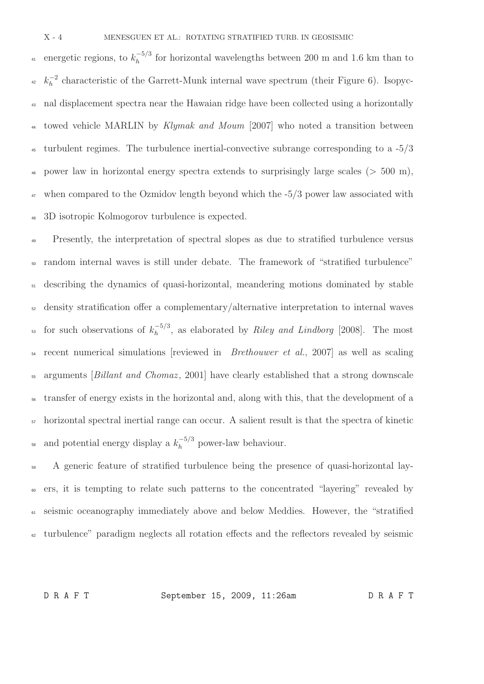energetic regions, to  $k_h^{-5/3}$ <sup>41</sup> energetic regions, to  $k_h^{-3/3}$  for horizontal wavelengths between 200 m and 1.6 km than to  $k_h^{-2}$  $h_h^{-2}$  characteristic of the Garrett-Munk internal wave spectrum (their Figure 6). Isopyc-<sup>43</sup> nal displacement spectra near the Hawaian ridge have been collected using a horizontally <sup>44</sup> towed vehicle MARLIN by Klymak and Moum [2007] who noted a transition between <sup>45</sup> turbulent regimes. The turbulence inertial-convective subrange corresponding to a  $-5/3$ <sup>46</sup> power law in horizontal energy spectra extends to surprisingly large scales ( $>$  500 m), <sup>47</sup> when compared to the Ozmidov length beyond which the  $-5/3$  power law associated with <sup>48</sup> 3D isotropic Kolmogorov turbulence is expected.

<sup>49</sup> Presently, the interpretation of spectral slopes as due to stratified turbulence versus <sup>50</sup> random internal waves is still under debate. The framework of "stratified turbulence"  $_{51}$  describing the dynamics of quasi-horizontal, meandering motions dominated by stable <sup>52</sup> density stratification offer a complementary/alternative interpretation to internal waves for such observations of  $k_h^{-5/3}$ <sup>53</sup> for such observations of  $k_h^{-5/3}$ , as elaborated by *Riley and Lindborg* [2008]. The most <sup>54</sup> recent numerical simulations [reviewed in *Brethouwer et al.*, 2007] as well as scaling <sup>55</sup> arguments *[Billant and Chomaz*, 2001] have clearly established that a strong downscale <sup>56</sup> transfer of energy exists in the horizontal and, along with this, that the development of a <sup>57</sup> horizontal spectral inertial range can occur. A salient result is that the spectra of kinetic ss and potential energy display a  $k_h^{-5/3}$  power-law behaviour.

 A generic feature of stratified turbulence being the presence of quasi-horizontal lay- ers, it is tempting to relate such patterns to the concentrated "layering" revealed by seismic oceanography immediately above and below Meddies. However, the "stratified turbulence" paradigm neglects all rotation effects and the reflectors revealed by seismic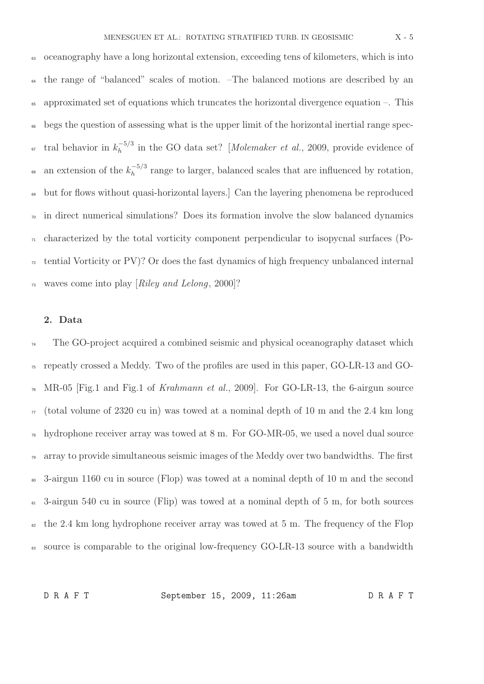<sup>63</sup> oceanography have a long horizontal extension, exceeding tens of kilometers, which is into <sup>64</sup> the range of "balanced" scales of motion. –The balanced motions are described by an <sup>65</sup> approximated set of equations which truncates the horizontal divergence equation –. This <sup>66</sup> begs the question of assessing what is the upper limit of the horizontal inertial range spectral behavior in  $k_h^{-5/3}$ <sup>67</sup> tral behavior in  $k_h^{-5/3}$  in the GO data set? [Molemaker et al., 2009, provide evidence of an extension of the  $k_h^{-5/3}$ <sup>68</sup> an extension of the  $k_h^{-3/3}$  range to larger, balanced scales that are influenced by rotation, <sup>69</sup> but for flows without quasi-horizontal layers.] Can the layering phenomena be reproduced  $\overline{p}$  in direct numerical simulations? Does its formation involve the slow balanced dynamics  $_{71}$  characterized by the total vorticity component perpendicular to isopycnal surfaces (Po- $72$  tential Vorticity or PV)? Or does the fast dynamics of high frequency unbalanced internal  $\pi_3$  waves come into play [Riley and Lelong, 2000]?

### 2. Data

<sup>74</sup> The GO-project acquired a combined seismic and physical oceanography dataset which <sup>75</sup> repeatly crossed a Meddy. Two of the profiles are used in this paper, GO-LR-13 and GO- $_{76}$  MR-05 [Fig.1 and Fig.1 of *Krahmann et al.*, 2009]. For GO-LR-13, the 6-airgun source  $\pi$  (total volume of 2320 cu in) was towed at a nominal depth of 10 m and the 2.4 km long  $\eta_8$  hydrophone receiver array was towed at 8 m. For GO-MR-05, we used a novel dual source <sup>79</sup> array to provide simultaneous seismic images of the Meddy over two bandwidths. The first <sup>80</sup> 3-airgun 1160 cu in source (Flop) was towed at a nominal depth of 10 m and the second <sup>81</sup> 3-airgun 540 cu in source (Flip) was towed at a nominal depth of 5 m, for both sources  $\frac{1}{82}$  the 2.4 km long hydrophone receiver array was towed at 5 m. The frequency of the Flop <sup>83</sup> source is comparable to the original low-frequency GO-LR-13 source with a bandwidth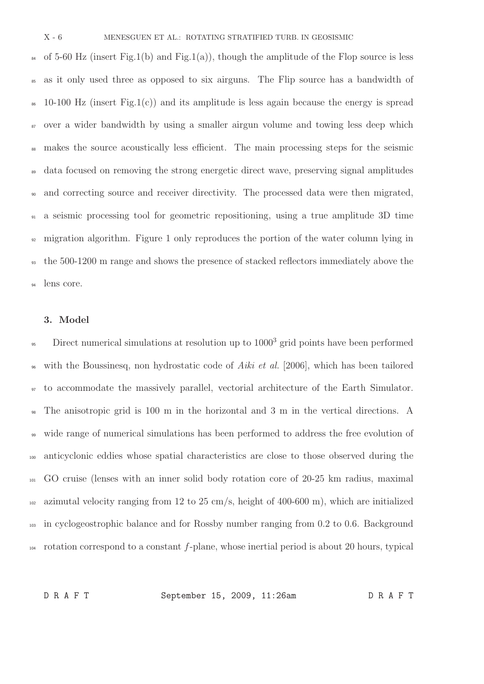84 of 5-60 Hz (insert Fig.1(b) and Fig.1(a)), though the amplitude of the Flop source is less as it only used three as opposed to six airguns. The Flip source has a bandwidth of  $\approx$  10-100 Hz (insert Fig.1(c)) and its amplitude is less again because the energy is spread <sup>87</sup> over a wider bandwidth by using a smaller airgun volume and towing less deep which <sup>88</sup> makes the source acoustically less efficient. The main processing steps for the seismic data focused on removing the strong energetic direct wave, preserving signal amplitudes and correcting source and receiver directivity. The processed data were then migrated, a seismic processing tool for geometric repositioning, using a true amplitude 3D time migration algorithm. Figure 1 only reproduces the portion of the water column lying in the 500-1200 m range and shows the presence of stacked reflectors immediately above the lens core.

#### 3. Model

<sup>95</sup> Direct numerical simulations at resolution up to 1000<sup>3</sup> grid points have been performed with the Boussinesq, non hydrostatic code of Aiki et al. [2006], which has been tailored <sup>97</sup> to accommodate the massively parallel, vectorial architecture of the Earth Simulator. <sup>98</sup> The anisotropic grid is 100 m in the horizontal and 3 m in the vertical directions. A wide range of numerical simulations has been performed to address the free evolution of <sup>100</sup> anticyclonic eddies whose spatial characteristics are close to those observed during the <sup>101</sup> GO cruise (lenses with an inner solid body rotation core of 20-25 km radius, maximal 102 azimutal velocity ranging from 12 to 25 cm/s, height of 400-600 m), which are initialized <sup>103</sup> in cyclogeostrophic balance and for Rossby number ranging from 0.2 to 0.6. Background <sup>104</sup> rotation correspond to a constant f-plane, whose inertial period is about 20 hours, typical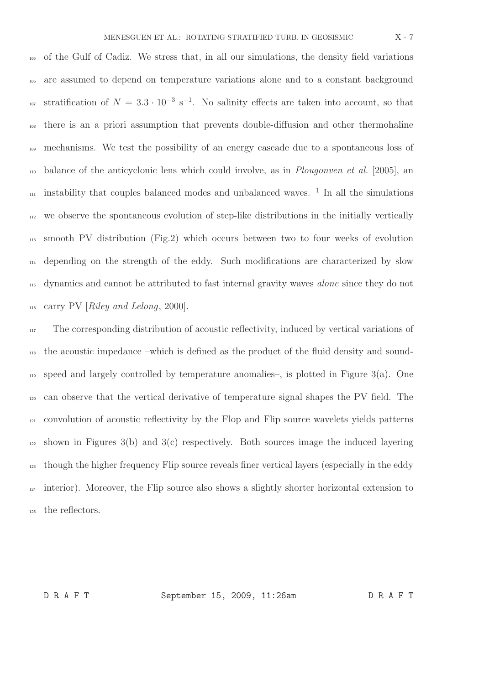of the Gulf of Cadiz. We stress that, in all our simulations, the density field variations are assumed to depend on temperature variations alone and to a constant background <sup>107</sup> stratification of  $N = 3.3 \cdot 10^{-3} \text{ s}^{-1}$ . No salinity effects are taken into account, so that there is an a priori assumption that prevents double-diffusion and other thermohaline mechanisms. We test the possibility of an energy cascade due to a spontaneous loss of balance of the anticyclonic lens which could involve, as in Plougonven et al. [2005], an  $\mu$ <sup>11</sup> instability that couples balanced modes and unbalanced waves.<sup>1</sup> In all the simulations we observe the spontaneous evolution of step-like distributions in the initially vertically smooth PV distribution (Fig.2) which occurs between two to four weeks of evolution depending on the strength of the eddy. Such modifications are characterized by slow dynamics and cannot be attributed to fast internal gravity waves alone since they do not  $_{116}$  carry PV [Riley and Lelong, 2000].

 The corresponding distribution of acoustic reflectivity, induced by vertical variations of the acoustic impedance –which is defined as the product of the fluid density and sound-119 speed and largely controlled by temperature anomalies–, is plotted in Figure 3(a). One can observe that the vertical derivative of temperature signal shapes the PV field. The convolution of acoustic reflectivity by the Flop and Flip source wavelets yields patterns shown in Figures 3(b) and 3(c) respectively. Both sources image the induced layering though the higher frequency Flip source reveals finer vertical layers (especially in the eddy interior). Moreover, the Flip source also shows a slightly shorter horizontal extension to the reflectors.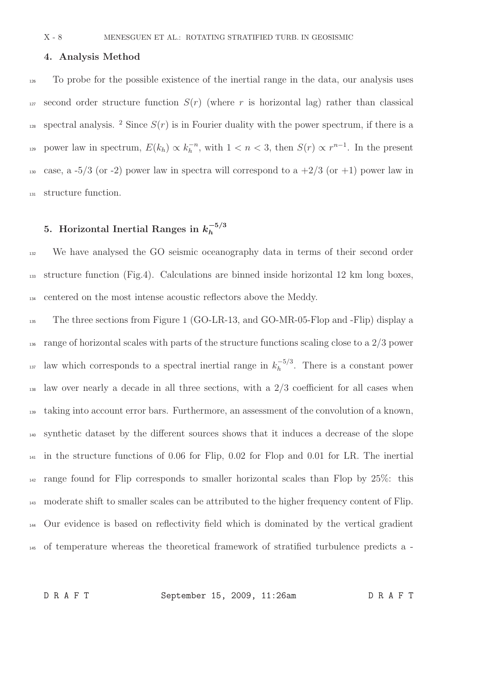### 4. Analysis Method

<sup>126</sup> To probe for the possible existence of the inertial range in the data, our analysis uses <sup>127</sup> second order structure function  $S(r)$  (where r is horizontal lag) rather than classical <sup>128</sup> spectral analysis. <sup>2</sup> Since  $S(r)$  is in Fourier duality with the power spectrum, if there is a power law in spectrum,  $E(k_h) \propto k_h^{-n}$ , with  $1 < n < 3$ , then  $S(r) \propto r^{n-1}$ . In the present 130 case, a -5/3 (or -2) power law in spectra will correspond to a  $+2/3$  (or  $+1$ ) power law in <sup>131</sup> structure function.

#### 5. Horizontal Inertial Ranges in  $k_h^{-5/3}$ h

<sup>132</sup> We have analysed the GO seismic oceanography data in terms of their second order <sup>133</sup> structure function (Fig.4). Calculations are binned inside horizontal 12 km long boxes, <sup>134</sup> centered on the most intense acoustic reflectors above the Meddy.

<sup>135</sup> The three sections from Figure 1 (GO-LR-13, and GO-MR-05-Flop and -Flip) display a  $_{136}$  range of horizontal scales with parts of the structure functions scaling close to a  $2/3$  power law which corresponds to a spectral inertial range in  $k_h^{-5/3}$ <sup>137</sup> law which corresponds to a spectral inertial range in  $k_h^{-3/3}$ . There is a constant power <sup>138</sup> law over nearly a decade in all three sections, with a 2/3 coefficient for all cases when <sup>139</sup> taking into account error bars. Furthermore, an assessment of the convolution of a known, <sup>140</sup> synthetic dataset by the different sources shows that it induces a decrease of the slope <sup>141</sup> in the structure functions of 0.06 for Flip, 0.02 for Flop and 0.01 for LR. The inertial  $_{142}$  range found for Flip corresponds to smaller horizontal scales than Flop by 25%: this <sup>143</sup> moderate shift to smaller scales can be attributed to the higher frequency content of Flip. <sup>144</sup> Our evidence is based on reflectivity field which is dominated by the vertical gradient <sup>145</sup> of temperature whereas the theoretical framework of stratified turbulence predicts a -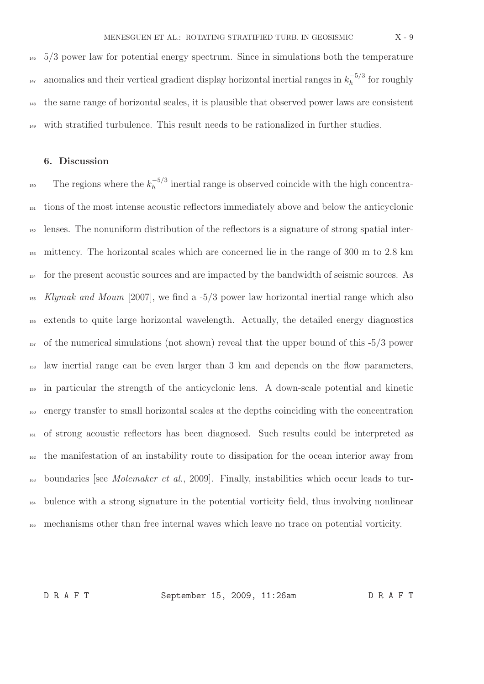5/3 power law for potential energy spectrum. Since in simulations both the temperature anomalies and their vertical gradient display horizontal inertial ranges in  $k_h^{-5/3}$ <sup>147</sup> anomalies and their vertical gradient display horizontal inertial ranges in  $k_h^{-3/3}$  for roughly the same range of horizontal scales, it is plausible that observed power laws are consistent with stratified turbulence. This result needs to be rationalized in further studies.

## 6. Discussion

The regions where the  $k_h^{-5/3}$ <sup>150</sup> The regions where the  $k_h^{-3/3}$  inertial range is observed coincide with the high concentra- tions of the most intense acoustic reflectors immediately above and below the anticyclonic lenses. The nonuniform distribution of the reflectors is a signature of strong spatial inter- mittency. The horizontal scales which are concerned lie in the range of 300 m to 2.8 km for the present acoustic sources and are impacted by the bandwidth of seismic sources. As Klymak and Moum [2007], we find a -5/3 power law horizontal inertial range which also extends to quite large horizontal wavelength. Actually, the detailed energy diagnostics of the numerical simulations (not shown) reveal that the upper bound of this -5/3 power law inertial range can be even larger than 3 km and depends on the flow parameters, in particular the strength of the anticyclonic lens. A down-scale potential and kinetic energy transfer to small horizontal scales at the depths coinciding with the concentration of strong acoustic reflectors has been diagnosed. Such results could be interpreted as the manifestation of an instability route to dissipation for the ocean interior away from  $_{163}$  boundaries [see *Molemaker et al.*, 2009]. Finally, instabilities which occur leads to tur- bulence with a strong signature in the potential vorticity field, thus involving nonlinear mechanisms other than free internal waves which leave no trace on potential vorticity.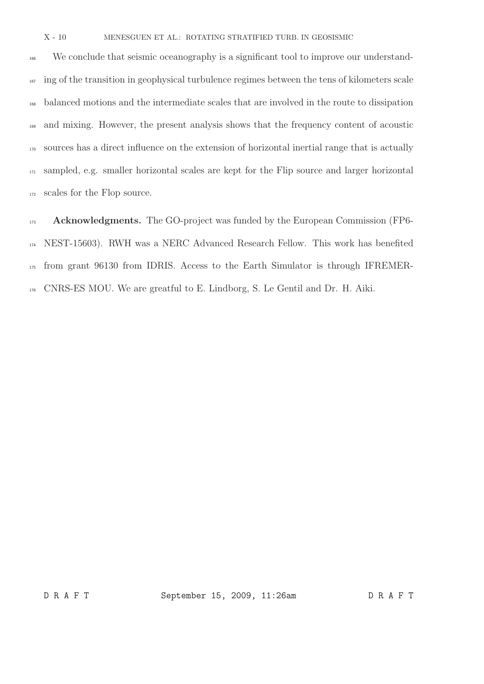X - 10 MENESGUEN ET AL.: ROTATING STRATIFIED TURB. IN GEOSISMIC

<sup>166</sup> We conclude that seismic oceanography is a significant tool to improve our understand-<sup>167</sup> ing of the transition in geophysical turbulence regimes between the tens of kilometers scale balanced motions and the intermediate scales that are involved in the route to dissipation and mixing. However, the present analysis shows that the frequency content of acoustic sources has a direct influence on the extension of horizontal inertial range that is actually sampled, e.g. smaller horizontal scales are kept for the Flip source and larger horizontal scales for the Flop source.

173 Acknowledgments. The GO-project was funded by the European Commission (FP6- NEST-15603). RWH was a NERC Advanced Research Fellow. This work has benefited from grant 96130 from IDRIS. Access to the Earth Simulator is through IFREMER-CNRS-ES MOU. We are greatful to E. Lindborg, S. Le Gentil and Dr. H. Aiki.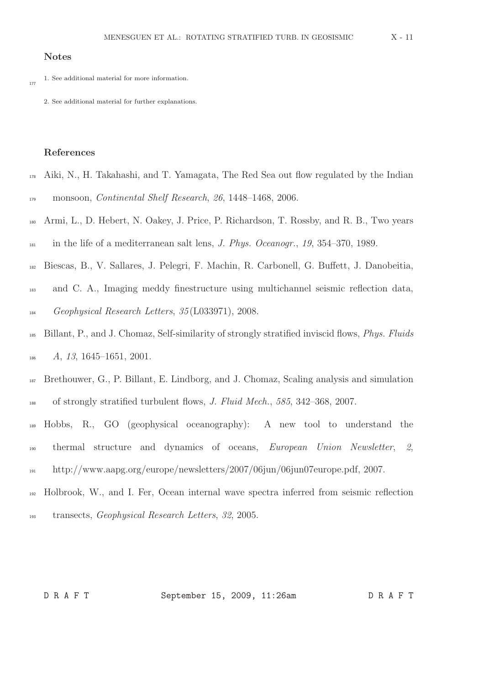# Notes

1. See additional material for more information. 177

2. See additional material for further explanations.

#### References

- <sup>178</sup> Aiki, N., H. Takahashi, and T. Yamagata, The Red Sea out flow regulated by the Indian 179 monsoon, Continental Shelf Research, 26, 1448–1468, 2006.
- <sup>180</sup> Armi, L., D. Hebert, N. Oakey, J. Price, P. Richardson, T. Rossby, and R. B., Two years  $\frac{1}{181}$  in the life of a mediterranean salt lens, *J. Phys. Oceanogr.*, 19, 354–370, 1989.
- <sup>182</sup> Biescas, B., V. Sallares, J. Pelegri, F. Machin, R. Carbonell, G. Buffett, J. Danobeitia,
- <sup>183</sup> and C. A., Imaging meddy finestructure using multichannel seismic reflection data, <sup>184</sup> Geophysical Research Letters, 35 (L033971), 2008.
- <sup>185</sup> Billant, P., and J. Chomaz, Self-similarity of strongly stratified inviscid flows, Phys. Fluids  $A, 13, 1645-1651, 2001.$
- <sup>187</sup> Brethouwer, G., P. Billant, E. Lindborg, and J. Chomaz, Scaling analysis and simulation 188 of strongly stratified turbulent flows, J. Fluid Mech., 585, 342–368, 2007.
- <sup>189</sup> Hobbs, R., GO (geophysical oceanography): A new tool to understand the <sup>190</sup> thermal structure and dynamics of oceans, European Union Newsletter, 2, <sup>191</sup> http://www.aapg.org/europe/newsletters/2007/06jun/06jun07europe.pdf, 2007.
- <sup>192</sup> Holbrook, W., and I. Fer, Ocean internal wave spectra inferred from seismic reflection <sup>193</sup> transects, Geophysical Research Letters, 32, 2005.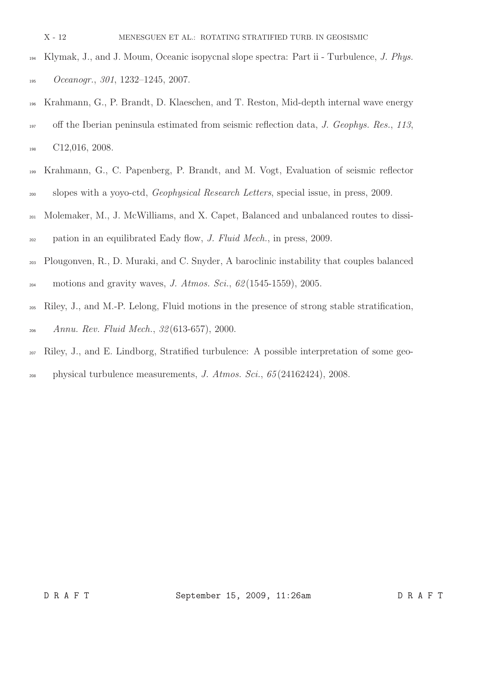- X 12 MENESGUEN ET AL.: ROTATING STRATIFIED TURB. IN GEOSISMIC
- <sup>194</sup> Klymak, J., and J. Moum, Oceanic isopycnal slope spectra: Part ii Turbulence, J. Phys. 195 Oceanogr., 301, 1232-1245, 2007.
- <sup>196</sup> Krahmann, G., P. Brandt, D. Klaeschen, and T. Reston, Mid-depth internal wave energy <sup>197</sup> off the Iberian peninsula estimated from seismic reflection data, J. Geophys. Res., 113, 198 C12,016, 2008.
- <sup>199</sup> Krahmann, G., C. Papenberg, P. Brandt, and M. Vogt, Evaluation of seismic reflector <sup>200</sup> slopes with a yoyo-ctd, *Geophysical Research Letters*, special issue, in press, 2009.
- <sup>201</sup> Molemaker, M., J. McWilliams, and X. Capet, Balanced and unbalanced routes to dissi-<sup>202</sup> pation in an equilibrated Eady flow, J. Fluid Mech., in press, 2009.
- <sup>203</sup> Plougonven, R., D. Muraki, and C. Snyder, A baroclinic instability that couples balanced 204 motions and gravity waves, *J. Atmos. Sci.*,  $62(1545-1559)$ , 2005.
- <sup>205</sup> Riley, J., and M.-P. Lelong, Fluid motions in the presence of strong stable stratification, <sup>206</sup> Annu. Rev. Fluid Mech., 32 (613-657), 2000.
- <sup>207</sup> Riley, J., and E. Lindborg, Stratified turbulence: A possible interpretation of some geo-
- <sup>208</sup> physical turbulence measurements, J. Atmos. Sci., 65 (24162424), 2008.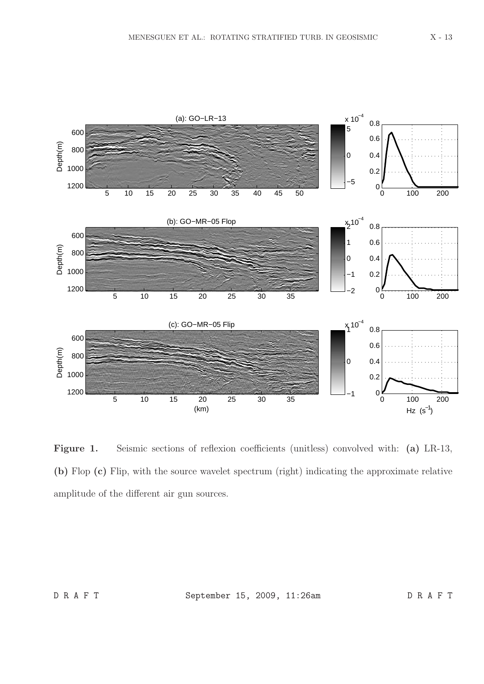

Figure 1. Seismic sections of reflexion coefficients (unitless) convolved with: (a) LR-13, (b) Flop (c) Flip, with the source wavelet spectrum (right) indicating the approximate relative amplitude of the different air gun sources.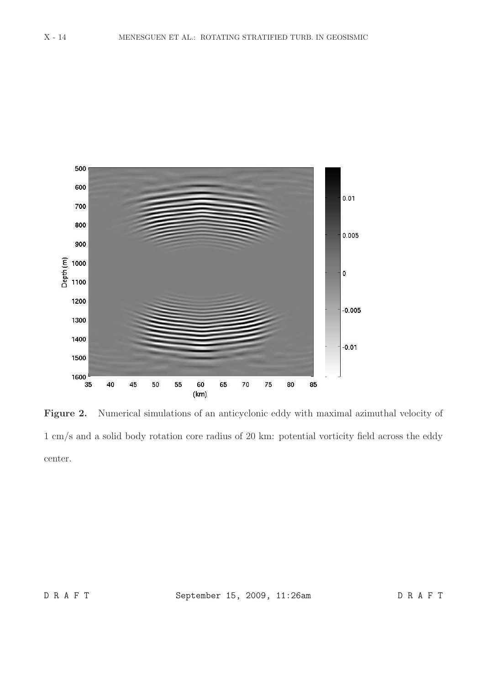

Figure 2. Numerical simulations of an anticyclonic eddy with maximal azimuthal velocity of 1 cm/s and a solid body rotation core radius of 20 km: potential vorticity field across the eddy center.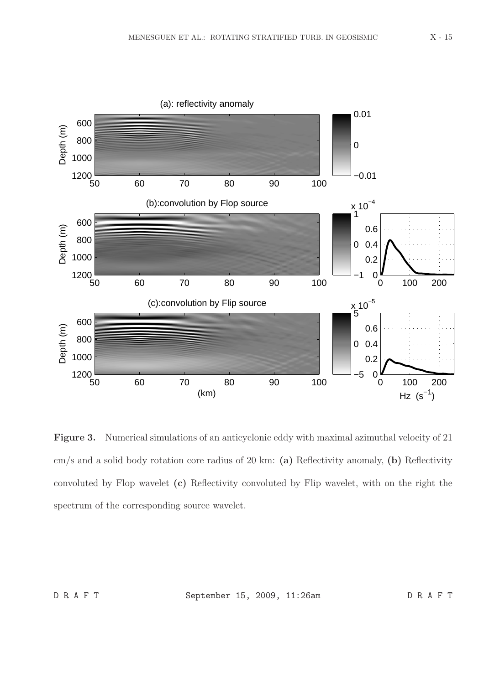

Figure 3. Numerical simulations of an anticyclonic eddy with maximal azimuthal velocity of 21 cm/s and a solid body rotation core radius of 20 km: (a) Reflectivity anomaly, (b) Reflectivity convoluted by Flop wavelet (c) Reflectivity convoluted by Flip wavelet, with on the right the spectrum of the corresponding source wavelet.